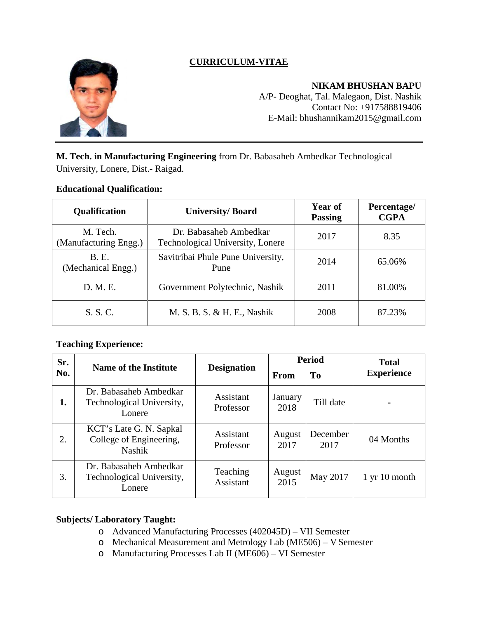

# **CURRICULUM-VITAE**

**NIKAM BHUSHAN BAPU**

A/P- Deoghat, Tal. Malegaon, Dist. Nashik Contact No: +917588819406 E-Mail: [bhushannikam2015@gmail.com](mailto:bhushannikam2015@gmail.com)

**M. Tech. in Manufacturing Engineering** from Dr. Babasaheb Ambedkar Technological University, Lonere, Dist.- Raigad.

### **Educational Qualification:**

| <b>Qualification</b>               | <b>University/Board</b>                                    | Year of<br><b>Passing</b> | Percentage/<br><b>CGPA</b> |
|------------------------------------|------------------------------------------------------------|---------------------------|----------------------------|
| M. Tech.<br>(Manufacturing Engg.)  | Dr. Babasaheb Ambedkar<br>Technological University, Lonere | 2017                      | 8.35                       |
| <b>B.</b> E.<br>(Mechanical Engg.) | Savitribai Phule Pune University,<br>Pune                  | 2014                      | 65.06%                     |
| D. M. E.                           | Government Polytechnic, Nashik                             | 2011                      | 81.00%                     |
| S. S. C.                           | M. S. B. S. & H. E., Nashik                                | 2008                      | 87.23%                     |

### **Teaching Experience:**

| Sr.<br>No. | <b>Name of the Institute</b>                                        | <b>Designation</b>     | <b>Period</b>   |                  | <b>Total</b>            |
|------------|---------------------------------------------------------------------|------------------------|-----------------|------------------|-------------------------|
|            |                                                                     |                        | <b>From</b>     | <b>To</b>        | <b>Experience</b>       |
| 1.         | Dr. Babasaheb Ambedkar<br>Technological University,<br>Lonere       | Assistant<br>Professor | January<br>2018 | Till date        | ۰                       |
| 2.         | KCT's Late G. N. Sapkal<br>College of Engineering,<br><b>Nashik</b> | Assistant<br>Professor | August<br>2017  | December<br>2017 | 04 Months               |
| 3.         | Dr. Babasaheb Ambedkar<br>Technological University,<br>Lonere       | Teaching<br>Assistant  | August<br>2015  | May 2017         | $1 \,$ yr $10 \,$ month |

### **Subjects/ Laboratory Taught:**

- o Advanced Manufacturing Processes (402045D) VII Semester
- o Mechanical Measurement and Metrology Lab (ME506) V Semester
- o Manufacturing Processes Lab II (ME606) VI Semester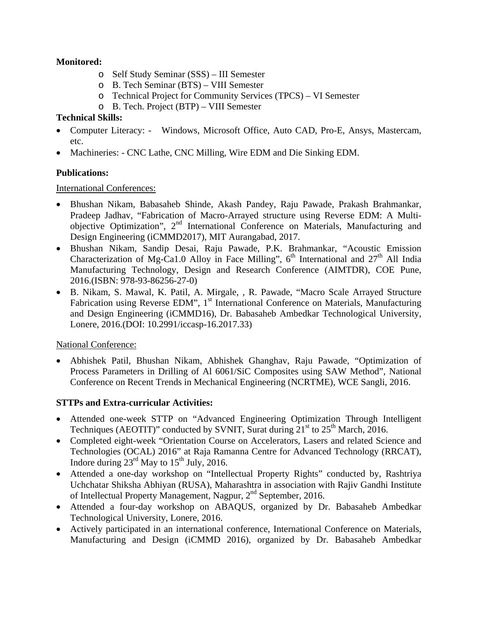## **Monitored:**

- o Self Study Seminar (SSS) III Semester
- o B. Tech Seminar (BTS) VIII Semester
- o Technical Project for Community Services (TPCS) VI Semester
- o B. Tech. Project (BTP) VIII Semester

## **Technical Skills:**

- Computer Literacy: Windows, Microsoft Office, Auto CAD, Pro-E, Ansys, Mastercam, etc.
- Machineries: CNC Lathe, CNC Milling, Wire EDM and Die Sinking EDM.

## **Publications:**

International Conferences:

- Bhushan Nikam, Babasaheb Shinde, Akash Pandey, Raju Pawade, Prakash Brahmankar, Pradeep Jadhav, "Fabrication of Macro-Arrayed structure using Reverse EDM: A Multiobjective Optimization",  $2<sup>nd</sup>$  International Conference on Materials, Manufacturing and Design Engineering (iCMMD2017), MIT Aurangabad, 2017.
- Bhushan Nikam, Sandip Desai, Raju Pawade, P.K. Brahmankar, "Acoustic Emission Characterization of Mg-Ca1.0 Alloy in Face Milling",  $6<sup>th</sup>$  International and  $27<sup>th</sup>$  All India Manufacturing Technology, Design and Research Conference (AIMTDR), COE Pune, 2016.(ISBN: 978-93-86256-27-0)
- B. Nikam, S. Mawal, K. Patil, A. Mirgale, , R. Pawade, "Macro Scale Arrayed Structure Fabrication using Reverse EDM", 1<sup>st</sup> International Conference on Materials, Manufacturing and Design Engineering (iCMMD16), Dr. Babasaheb Ambedkar Technological University, Lonere, 2016.(DOI: 10.2991/iccasp-16.2017.33)

### National Conference:

• Abhishek Patil, Bhushan Nikam, Abhishek Ghanghav, Raju Pawade, "Optimization of Process Parameters in Drilling of Al 6061/SiC Composites using SAW Method", National Conference on Recent Trends in Mechanical Engineering (NCRTME), WCE Sangli, 2016.

## **STTPs and Extra-curricular Activities:**

- Attended one-week STTP on "Advanced Engineering Optimization Through Intelligent Techniques (AEOTIT)" conducted by SVNIT, Surat during  $21<sup>st</sup>$  to  $25<sup>th</sup>$  March, 2016.
- Completed eight-week "Orientation Course on Accelerators, Lasers and related Science and Technologies (OCAL) 2016" at Raja Ramanna Centre for Advanced Technology (RRCAT), Indore during  $23^{\text{rd}}$  May to  $15^{\text{th}}$  July, 2016.
- Attended a one-day workshop on "Intellectual Property Rights" conducted by, Rashtriya Uchchatar Shiksha Abhiyan (RUSA), Maharashtra in association with Rajiv Gandhi Institute of Intellectual Property Management, Nagpur, 2nd September, 2016.
- Attended a four-day workshop on ABAQUS, organized by Dr. Babasaheb Ambedkar Technological University, Lonere, 2016.
- Actively participated in an international conference, International Conference on Materials, Manufacturing and Design (iCMMD 2016), organized by Dr. Babasaheb Ambedkar